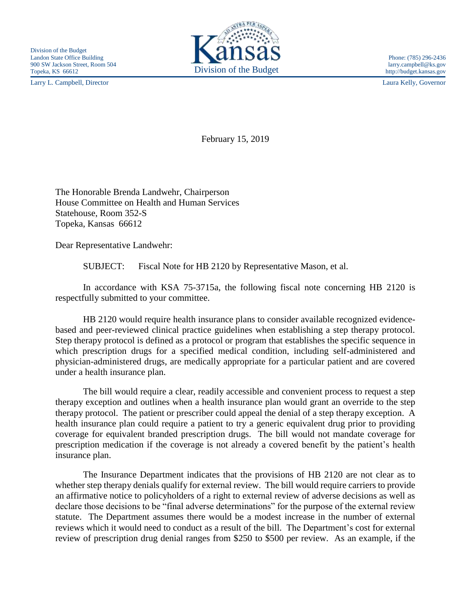Larry L. Campbell, Director Laura Kelly, Governor



February 15, 2019

The Honorable Brenda Landwehr, Chairperson House Committee on Health and Human Services Statehouse, Room 352-S Topeka, Kansas 66612

Dear Representative Landwehr:

SUBJECT: Fiscal Note for HB 2120 by Representative Mason, et al.

In accordance with KSA 75-3715a, the following fiscal note concerning HB 2120 is respectfully submitted to your committee.

HB 2120 would require health insurance plans to consider available recognized evidencebased and peer-reviewed clinical practice guidelines when establishing a step therapy protocol. Step therapy protocol is defined as a protocol or program that establishes the specific sequence in which prescription drugs for a specified medical condition, including self-administered and physician-administered drugs, are medically appropriate for a particular patient and are covered under a health insurance plan.

The bill would require a clear, readily accessible and convenient process to request a step therapy exception and outlines when a health insurance plan would grant an override to the step therapy protocol. The patient or prescriber could appeal the denial of a step therapy exception. A health insurance plan could require a patient to try a generic equivalent drug prior to providing coverage for equivalent branded prescription drugs. The bill would not mandate coverage for prescription medication if the coverage is not already a covered benefit by the patient's health insurance plan.

The Insurance Department indicates that the provisions of HB 2120 are not clear as to whether step therapy denials qualify for external review. The bill would require carriers to provide an affirmative notice to policyholders of a right to external review of adverse decisions as well as declare those decisions to be "final adverse determinations" for the purpose of the external review statute. The Department assumes there would be a modest increase in the number of external reviews which it would need to conduct as a result of the bill. The Department's cost for external review of prescription drug denial ranges from \$250 to \$500 per review. As an example, if the